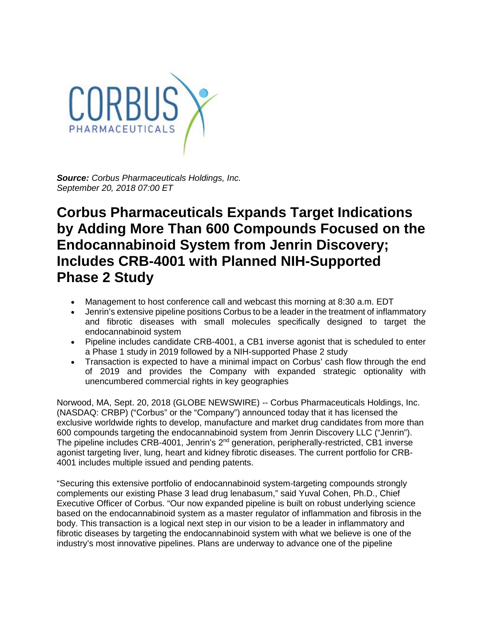

*Source: Corbus Pharmaceuticals Holdings, Inc. September 20, 2018 07:00 ET* 

# **Corbus Pharmaceuticals Expands Target Indications by Adding More Than 600 Compounds Focused on the Endocannabinoid System from Jenrin Discovery; Includes CRB-4001 with Planned NIH-Supported Phase 2 Study**

- Management to host conference call and webcast this morning at 8:30 a.m. EDT
- Jenrin's extensive pipeline positions Corbus to be a leader in the treatment of inflammatory and fibrotic diseases with small molecules specifically designed to target the endocannabinoid system
- Pipeline includes candidate CRB-4001, a CB1 inverse agonist that is scheduled to enter a Phase 1 study in 2019 followed by a NIH-supported Phase 2 study
- Transaction is expected to have a minimal impact on Corbus' cash flow through the end of 2019 and provides the Company with expanded strategic optionality with unencumbered commercial rights in key geographies

Norwood, MA, Sept. 20, 2018 (GLOBE NEWSWIRE) -- Corbus Pharmaceuticals Holdings, Inc. (NASDAQ: CRBP) ("Corbus" or the "Company") announced today that it has licensed the exclusive worldwide rights to develop, manufacture and market drug candidates from more than 600 compounds targeting the endocannabinoid system from Jenrin Discovery LLC ("Jenrin"). The pipeline includes CRB-4001, Jenrin's 2<sup>nd</sup> generation, peripherally-restricted, CB1 inverse agonist targeting liver, lung, heart and kidney fibrotic diseases. The current portfolio for CRB-4001 includes multiple issued and pending patents.

"Securing this extensive portfolio of endocannabinoid system-targeting compounds strongly complements our existing Phase 3 lead drug lenabasum," said Yuval Cohen, Ph.D., Chief Executive Officer of Corbus. "Our now expanded pipeline is built on robust underlying science based on the endocannabinoid system as a master regulator of inflammation and fibrosis in the body. This transaction is a logical next step in our vision to be a leader in inflammatory and fibrotic diseases by targeting the endocannabinoid system with what we believe is one of the industry's most innovative pipelines. Plans are underway to advance one of the pipeline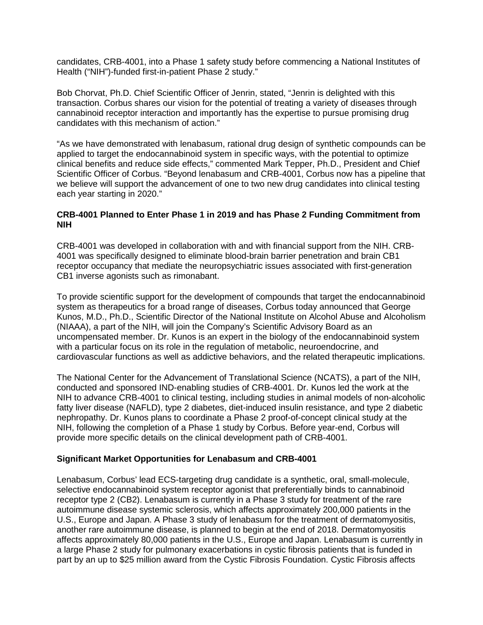candidates, CRB-4001, into a Phase 1 safety study before commencing a National Institutes of Health ("NIH")-funded first-in-patient Phase 2 study."

Bob Chorvat, Ph.D. Chief Scientific Officer of Jenrin, stated, "Jenrin is delighted with this transaction. Corbus shares our vision for the potential of treating a variety of diseases through cannabinoid receptor interaction and importantly has the expertise to pursue promising drug candidates with this mechanism of action."

"As we have demonstrated with lenabasum, rational drug design of synthetic compounds can be applied to target the endocannabinoid system in specific ways, with the potential to optimize clinical benefits and reduce side effects," commented Mark Tepper, Ph.D., President and Chief Scientific Officer of Corbus. "Beyond lenabasum and CRB-4001, Corbus now has a pipeline that we believe will support the advancement of one to two new drug candidates into clinical testing each year starting in 2020."

## **CRB-4001 Planned to Enter Phase 1 in 2019 and has Phase 2 Funding Commitment from NIH**

CRB-4001 was developed in collaboration with and with financial support from the NIH. CRB-4001 was specifically designed to eliminate blood-brain barrier penetration and brain CB1 receptor occupancy that mediate the neuropsychiatric issues associated with first-generation CB1 inverse agonists such as rimonabant.

To provide scientific support for the development of compounds that target the endocannabinoid system as therapeutics for a broad range of diseases, Corbus today announced that George Kunos, M.D., Ph.D., Scientific Director of the National Institute on Alcohol Abuse and Alcoholism (NIAAA), a part of the NIH, will join the Company's Scientific Advisory Board as an uncompensated member. Dr. Kunos is an expert in the biology of the endocannabinoid system with a particular focus on its role in the regulation of metabolic, neuroendocrine, and cardiovascular functions as well as addictive behaviors, and the related therapeutic implications.

The National Center for the Advancement of Translational Science (NCATS), a part of the NIH, conducted and sponsored IND-enabling studies of CRB-4001. Dr. Kunos led the work at the NIH to advance CRB-4001 to clinical testing, including studies in animal models of non-alcoholic fatty liver disease (NAFLD), type 2 diabetes, diet-induced insulin resistance, and type 2 diabetic nephropathy. Dr. Kunos plans to coordinate a Phase 2 proof-of-concept clinical study at the NIH, following the completion of a Phase 1 study by Corbus. Before year-end, Corbus will provide more specific details on the clinical development path of CRB-4001.

## **Significant Market Opportunities for Lenabasum and CRB-4001**

Lenabasum, Corbus' lead ECS-targeting drug candidate is a synthetic, oral, small-molecule, selective endocannabinoid system receptor agonist that preferentially binds to cannabinoid receptor type 2 (CB2). Lenabasum is currently in a Phase 3 study for treatment of the rare autoimmune disease systemic sclerosis, which affects approximately 200,000 patients in the U.S., Europe and Japan. A Phase 3 study of lenabasum for the treatment of dermatomyositis, another rare autoimmune disease, is planned to begin at the end of 2018. Dermatomyositis affects approximately 80,000 patients in the U.S., Europe and Japan. Lenabasum is currently in a large Phase 2 study for pulmonary exacerbations in cystic fibrosis patients that is funded in part by an up to \$25 million award from the Cystic Fibrosis Foundation. Cystic Fibrosis affects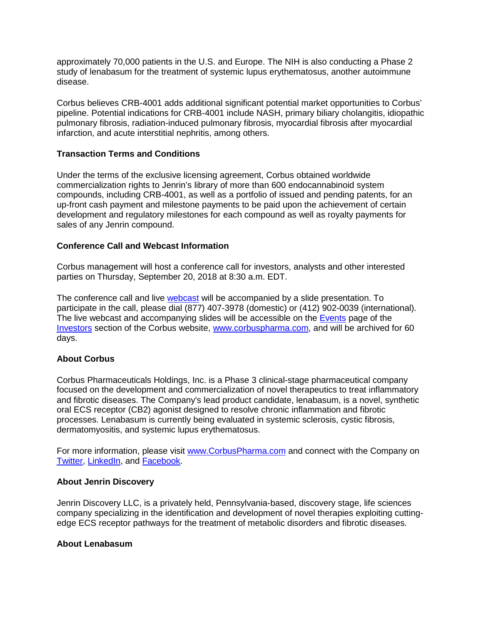approximately 70,000 patients in the U.S. and Europe. The NIH is also conducting a Phase 2 study of lenabasum for the treatment of systemic lupus erythematosus, another autoimmune disease.

Corbus believes CRB-4001 adds additional significant potential market opportunities to Corbus' pipeline. Potential indications for CRB-4001 include NASH, primary biliary cholangitis, idiopathic pulmonary fibrosis, radiation-induced pulmonary fibrosis, myocardial fibrosis after myocardial infarction, and acute interstitial nephritis, among others.

## **Transaction Terms and Conditions**

Under the terms of the exclusive licensing agreement, Corbus obtained worldwide commercialization rights to Jenrin's library of more than 600 endocannabinoid system compounds, including CRB-4001, as well as a portfolio of issued and pending patents, for an up-front cash payment and milestone payments to be paid upon the achievement of certain development and regulatory milestones for each compound as well as royalty payments for sales of any Jenrin compound.

### **Conference Call and Webcast Information**

Corbus management will host a conference call for investors, analysts and other interested parties on Thursday, September 20, 2018 at 8:30 a.m. EDT.

The conference call and live [webcast](https://www.globenewswire.com/Tracker?data=mEvAQHaix_wEYeFFZ8kUX1fuI9kePAr7EVlmM63L5O_XGNrznD8AtgXSIM_uGomNJBROkjvgXc08b_47rtT8eCD1JVx58SIdaBq7GYSu4tKvA_WF5Mdh6T0JpGW3vymSRIQIWjNGnjsVe2pyti0HU_m1egG7v9EoWkNYBC61xqw=) will be accompanied by a slide presentation. To participate in the call, please dial (877) 407-3978 (domestic) or (412) 902-0039 (international). The live webcast and accompanying slides will be accessible on the [Events](https://www.globenewswire.com/Tracker?data=KRg8GTyM9VF1SfIi6kGsU8pG9u15o1QyglTHC0FE34HgBxD9pHwKfxIhhCnjP8RUyY5Y38eekxlP95TjAgnyEg==) page of the [Investors](https://www.globenewswire.com/Tracker?data=rr5FsuGSfgBsNFXVhjRucHtY3_zRj8FJz858LE-B_sT5SKJmN7iaDku9-LavBhYO-vD6TBSFCC4jxn46wtNMIQ==) section of the Corbus website, [www.corbuspharma.com,](https://www.globenewswire.com/Tracker?data=JRnda0gym6rYoJ__V-mBhy92CkC0bfvoKWTHFXm0tFC4ViPuuVy735OyOE6bGXbW9EDJhYeHr3MFe1bjIcYntM9QeH7DilGaJmjs2XRLKzc=) and will be archived for 60 days.

## **About Corbus**

Corbus Pharmaceuticals Holdings, Inc. is a Phase 3 clinical-stage pharmaceutical company focused on the development and commercialization of novel therapeutics to treat inflammatory and fibrotic diseases. The Company's lead product candidate, lenabasum, is a novel, synthetic oral ECS receptor (CB2) agonist designed to resolve chronic inflammation and fibrotic processes. Lenabasum is currently being evaluated in systemic sclerosis, cystic fibrosis, dermatomyositis, and systemic lupus erythematosus.

For more information, please visit [www.CorbusPharma.com](https://www.globenewswire.com/Tracker?data=OEYUE6c8RHUFP2ZAONfikqhuPVPiJwlmlETHIqnMg35ea0Go74uuwYAYZvw80ORBrVqbg2PKNsACFDjOI2TbREGP2INTFqrm_tJ2Jy92s54=) and connect with the Company on [Twitter,](https://www.globenewswire.com/Tracker?data=kwO1aFzDkGVo8di2Htng3WyEZOAwJ-MDr7OSJgsccMphPXZjdw3O4e0JyRVH2sTYIMXNXSl7ZRGjZr1LEya_5A==) [LinkedIn,](https://www.globenewswire.com/Tracker?data=LUvZcsDEQfCssyFvnzATlNBqsEcaYwo6xk2ZAM0dc0zmoyY0Psi9HKUx_-7G0jpEp62BCu952Gk1eDh4dVtbzoVaGNq_at8Fc9ev2HufAbbngvJoPgQcIeiyOvF95jLy) and [Facebook.](https://www.globenewswire.com/Tracker?data=WCEgRGQ9bYmqnpmmuv1yKoj47g3KUFzSZXXQK0Spd6edb3aKmzXIj7rCh9wCbR9_VFL-YJqHG8zqA3ytiM8zu-BXrVnd2-_KMzWUeGnHEoo=)

## **About Jenrin Discovery**

Jenrin Discovery LLC, is a privately held, Pennsylvania-based, discovery stage, life sciences company specializing in the identification and development of novel therapies exploiting cuttingedge ECS receptor pathways for the treatment of metabolic disorders and fibrotic diseases.

#### **About Lenabasum**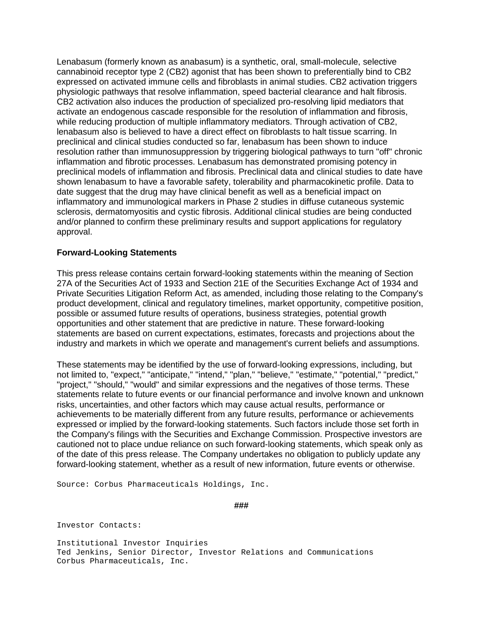Lenabasum (formerly known as anabasum) is a synthetic, oral, small-molecule, selective cannabinoid receptor type 2 (CB2) agonist that has been shown to preferentially bind to CB2 expressed on activated immune cells and fibroblasts in animal studies. CB2 activation triggers physiologic pathways that resolve inflammation, speed bacterial clearance and halt fibrosis. CB2 activation also induces the production of specialized pro-resolving lipid mediators that activate an endogenous cascade responsible for the resolution of inflammation and fibrosis, while reducing production of multiple inflammatory mediators. Through activation of CB2, lenabasum also is believed to have a direct effect on fibroblasts to halt tissue scarring. In preclinical and clinical studies conducted so far, lenabasum has been shown to induce resolution rather than immunosuppression by triggering biological pathways to turn "off" chronic inflammation and fibrotic processes. Lenabasum has demonstrated promising potency in preclinical models of inflammation and fibrosis. Preclinical data and clinical studies to date have shown lenabasum to have a favorable safety, tolerability and pharmacokinetic profile. Data to date suggest that the drug may have clinical benefit as well as a beneficial impact on inflammatory and immunological markers in Phase 2 studies in diffuse cutaneous systemic sclerosis, dermatomyositis and cystic fibrosis. Additional clinical studies are being conducted and/or planned to confirm these preliminary results and support applications for regulatory approval.

### **Forward-Looking Statements**

This press release contains certain forward-looking statements within the meaning of Section 27A of the Securities Act of 1933 and Section 21E of the Securities Exchange Act of 1934 and Private Securities Litigation Reform Act, as amended, including those relating to the Company's product development, clinical and regulatory timelines, market opportunity, competitive position, possible or assumed future results of operations, business strategies, potential growth opportunities and other statement that are predictive in nature. These forward-looking statements are based on current expectations, estimates, forecasts and projections about the industry and markets in which we operate and management's current beliefs and assumptions.

These statements may be identified by the use of forward-looking expressions, including, but not limited to, "expect," "anticipate," "intend," "plan," "believe," "estimate," "potential," "predict," "project," "should," "would" and similar expressions and the negatives of those terms. These statements relate to future events or our financial performance and involve known and unknown risks, uncertainties, and other factors which may cause actual results, performance or achievements to be materially different from any future results, performance or achievements expressed or implied by the forward-looking statements. Such factors include those set forth in the Company's filings with the Securities and Exchange Commission. Prospective investors are cautioned not to place undue reliance on such forward-looking statements, which speak only as of the date of this press release. The Company undertakes no obligation to publicly update any forward-looking statement, whether as a result of new information, future events or otherwise.

Source: Corbus Pharmaceuticals Holdings, Inc.

*###*

Investor Contacts:

Institutional Investor Inquiries Ted Jenkins, Senior Director, Investor Relations and Communications Corbus Pharmaceuticals, Inc.